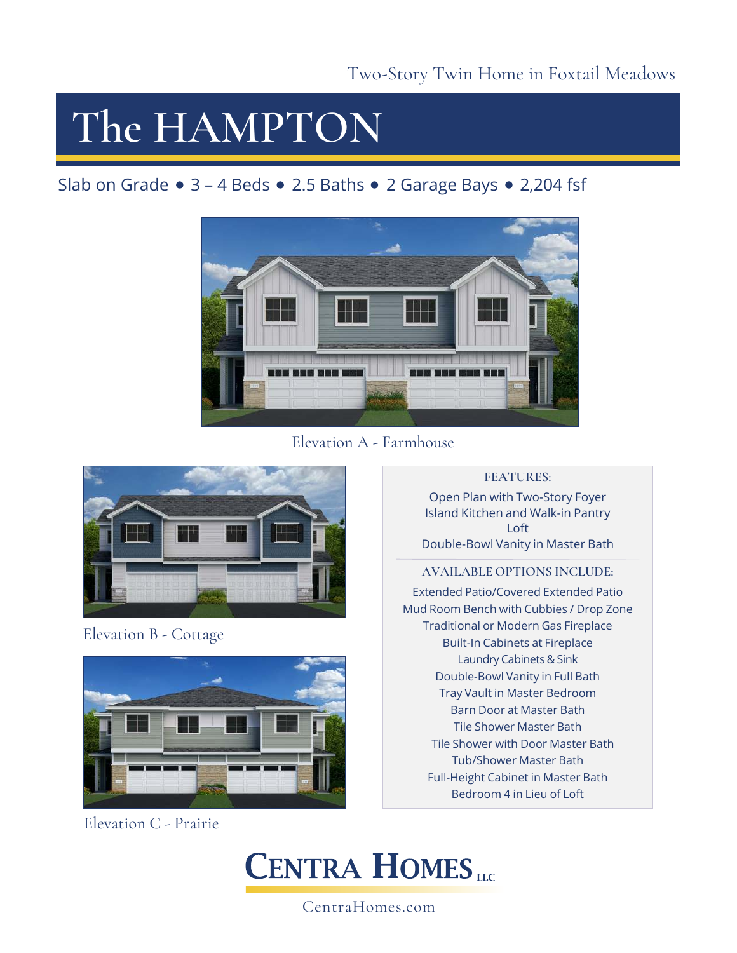# **The HAMPTON**

### Slab on Grade  $\bullet$  3 – 4 Beds  $\bullet$  2.5 Baths  $\bullet$  2 Garage Bays  $\bullet$  2,204 fsf



Elevation A - Farmhouse



Elevation B - Cottage



Elevation C - Prairie

### **FEATURES:**

Open Plan with Two-Story Foyer Island Kitchen and Walk-in Pantry Loft Double-Bowl Vanity in Master Bath

### **AVAILABLE OPTIONS INCLUDE:**

Extended Patio/Covered Extended Patio Mud Room Bench with Cubbies / Drop Zone Traditional or Modern Gas Fireplace Built-In Cabinets at Fireplace Laundry Cabinets & Sink Double-Bowl Vanity in Full Bath Tray Vault in Master Bedroom Barn Door at Master Bath Tile Shower Master Bath Tile Shower with Door Master Bath Tub/Shower Master Bath Full-Height Cabinet in Master Bath Bedroom 4 in Lieu of Loft



CentraHomes.com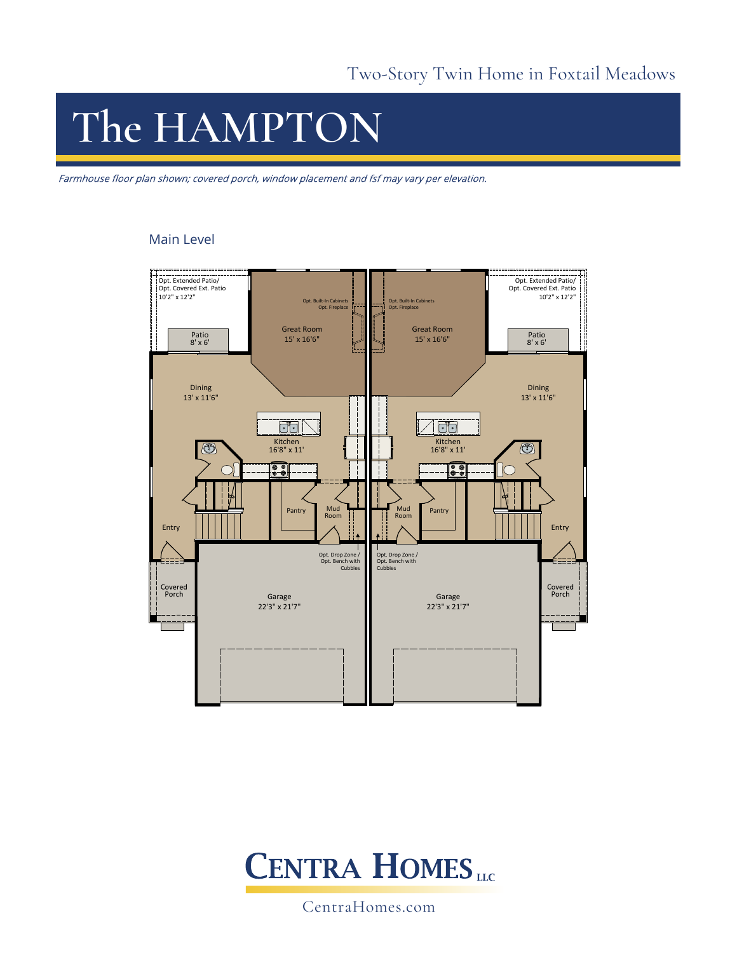# **The HAMPTON**

Farmhouse floor plan shown; covered porch, window placement and fsf may vary per elevation.

#### Main Level





CentraHomes.com